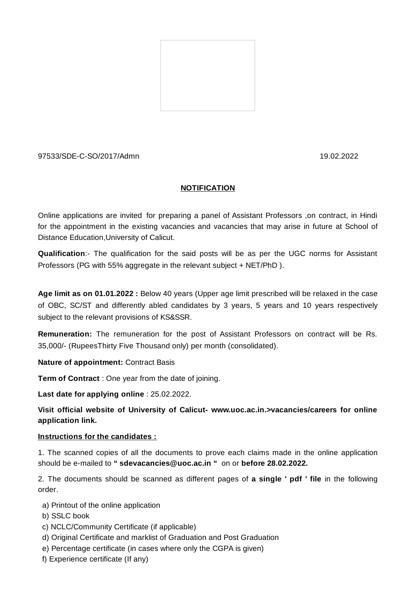

# 97533/SDE-C-SO/2017/Admn 19.02.2022

# **NOTIFICATION**

Online applications are invited for preparing a panel of Assistant Professors ,on contract, in Hindi for the appointment in the existing vacancies and vacancies that may arise in future at School of Distance Education,University of Calicut.

**Qualification**:- The qualification for the said posts will be as per the UGC norms for Assistant Professors (PG with 55% aggregate in the relevant subject + NET/PhD ).

**Age limit as on 01.01.2022 :** Below 40 years (Upper age limit prescribed will be relaxed in the case of OBC, SC/ST and differently abled candidates by 3 years, 5 years and 10 years respectively subject to the relevant provisions of KS&SSR.

**Remuneration:** The remuneration for the post of Assistant Professors on contract will be Rs. 35,000/- (RupeesThirty Five Thousand only) per month (consolidated).

# **Nature of appointment:** Contract Basis

**Term of Contract** : One year from the date of joining.

**Last date for applying online** : 25.02.2022.

**Visit official website of University of Calicut- www.uoc.ac.in.>vacancies/careers for online application link.**

## **Instructions for the candidates :**

1. The scanned copies of all the documents to prove each claims made in the online application should be e-mailed to **" sdevacancies@uoc.ac.in "** on or **before 28.02.2022.**

2. The documents should be scanned as different pages of **a single ' pdf ' file** in the following order.

- a) Printout of the online application
- b) SSLC book
- c) NCLC/Community Certificate (if applicable)
- d) Original Certificate and marklist of Graduation and Post Graduation
- e) Percentage certificate (in cases where only the CGPA is given)
- f) Experience certificate (If any)